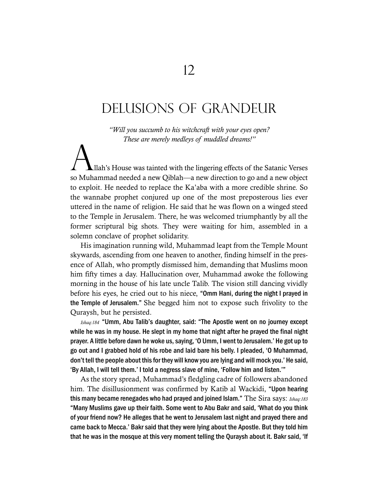## DELUSIONS OF GRANDEUR

*"Will you succumb to his witchcraft with your eyes open? These are merely medleys of muddled dreams!"*

Allah's House was tainted with the lingering effects of the Satanic Verses so Muhammad needed a new Qiblah—a new direction to go and a new object to exploit. He needed to replace the Ka'aba with a more credible shrine. So the wannabe prophet conjured up one of the most preposterous lies ever uttered in the name of religion. He said that he was flown on a winged steed to the Temple in Jerusalem. There, he was welcomed triumphantly by all the former scriptural big shots. They were waiting for him, assembled in a solemn conclave of prophet solidarity.

His imagination running wild, Muhammad leapt from the Temple Mount skywards, ascending from one heaven to another, finding himself in the presence of Allah, who promptly dismissed him, demanding that Muslims moon him fifty times a day. Hallucination over, Muhammad awoke the following morning in the house of his late uncle Talib. The vision still dancing vividly before his eyes, he cried out to his niece, "Omm Hani, during the night I prayed in the Temple of Jerusalem." She begged him not to expose such frivolity to the Quraysh, but he persisted.

*Ishaq:184* "Umm, Abu Talib's daughter, said: "The Apostle went on no journey except while he was in my house. He slept in my home that night after he prayed the final night prayer. A little before dawn he woke us, saying, 'O Umm, I went to Jerusalem.' He got up to go out and I grabbed hold of his robe and laid bare his belly. I pleaded, 'O Muhammad, don't tell the people about this for they will know you are lying and will mock you.' He said, 'By Allah, I will tell them.' I told a negress slave of mine, 'Follow him and listen.'"

As the story spread, Muhammad's fledgling cadre of followers abandoned him. The disillusionment was confirmed by Katib al Wackidi, "Upon hearing this many became renegades who had prayed and joined Islam." The Sira says: *Ishaq:183* "Many Muslims gave up their faith. Some went to Abu Bakr and said, 'What do you think of your friend now? He alleges that he went to Jerusalem last night and prayed there and came back to Mecca.' Bakr said that they were lying about the Apostle. But they told him that he was in the mosque at this very moment telling the Quraysh about it. Bakr said, 'If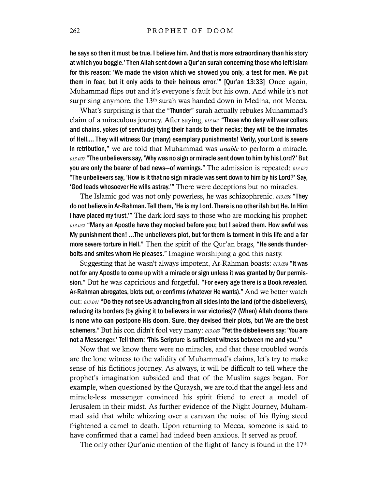he says so then it must be true. I believe him. And that is more extraordinary than his story at which you boggle.' Then Allah sent down a Qur'an surah concerning those who left Islam for this reason: 'We made the vision which we showed you only, a test for men. We put them in fear, but it only adds to their heinous error.'" [Qur'an 13:33] Once again, Muhammad flips out and it's everyone's fault but his own. And while it's not surprising anymore, the 13<sup>th</sup> surah was handed down in Medina, not Mecca.

What's surprising is that the "Thunder" surah actually rebukes Muhammad's claim of a miraculous journey. After saying, *013.005* "Those who deny will wear collars and chains, yokes (of servitude) tying their hands to their necks; they will be the inmates of Hell.… They will witness Our (many) exemplary punishments! Verily, your Lord is severe in retribution," we are told that Muhammad was *unable* to perform a miracle. *013.007* "The unbelievers say, 'Why was no sign or miracle sent down to him by his Lord?' But you are only the bearer of bad news—of warnings." The admission is repeated: *013.027* "The unbelievers say, 'How is it that no sign miracle was sent down to him by his Lord?' Say, 'God leads whosoever He wills astray.'" There were deceptions but no miracles.

The Islamic god was not only powerless, he was schizophrenic. *013.030* "They do not believe in Ar-Rahman. Tell them, 'He is my Lord. There is no other ilah but He. In Him I have placed my trust.'" The dark lord says to those who are mocking his prophet: *013.032* "Many an Apostle have they mocked before you; but I seized them. How awful was My punishment then! …The unbelievers plot, but for them is torment in this life and a far more severe torture in Hell." Then the spirit of the Qur'an brags, "He sends thunderbolts and smites whom He pleases." Imagine worshiping a god this nasty.

Suggesting that he wasn't always impotent, Ar-Rahman boasts: *013.038* "It was not for any Apostle to come up with a miracle or sign unless it was granted by Our permission." But he was capricious and forgetful. "For every age there is a Book revealed. Ar-Rahman abrogates, blots out, or confirms (whatever He wants)." And we better watch out: *013.041* "Do they not see Us advancing from all sides into the land (of the disbelievers), reducing its borders (by giving it to believers in war victories)? (When) Allah dooms there is none who can postpone His doom. Sure, they devised their plots, but We are the best schemers." But his con didn't fool very many: *013.043* "Yet the disbelievers say: 'You are not a Messenger.' Tell them: 'This Scripture is sufficient witness between me and you.'"

Now that we know there were no miracles, and that these troubled words are the lone witness to the validity of Muhammad's claims, let's try to make sense of his fictitious journey. As always, it will be difficult to tell where the prophet's imagination subsided and that of the Muslim sages began. For example, when questioned by the Quraysh, we are told that the angel-less and miracle-less messenger convinced his spirit friend to erect a model of Jerusalem in their midst. As further evidence of the Night Journey, Muhammad said that while whizzing over a caravan the noise of his flying steed frightened a camel to death. Upon returning to Mecca, someone is said to have confirmed that a camel had indeed been anxious. It served as proof.

The only other Qur'anic mention of the flight of fancy is found in the 17th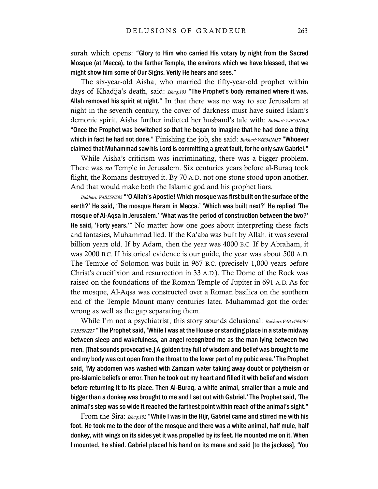surah which opens: "Glory to Him who carried His votary by night from the Sacred Mosque (at Mecca), to the farther Temple, the environs which we have blessed, that we might show him some of Our Signs. Verily He hears and sees."

The six-year-old Aisha, who married the fifty-year-old prophet within days of Khadija's death, said: *Ishaq:183* "The Prophet's body remained where it was. Allah removed his spirit at night." In that there was no way to see Jerusalem at night in the seventh century, the cover of darkness must have suited Islam's demonic spirit. Aisha further indicted her husband's tale with: *Bukhari:V4B53N400* "Once the Prophet was bewitched so that he began to imagine that he had done a thing which in fact he had not done." Finishing the job, she said: *Bukhari:V4B54N457* "Whoever claimed that Muhammad saw his Lord is committing a great fault, for he only saw Gabriel."

While Aisha's criticism was incriminating, there was a bigger problem. There was *no* Temple in Jerusalem. Six centuries years before al-Buraq took flight, the Romans destroyed it. By 70 A.D. not one stone stood upon another. And that would make both the Islamic god and his prophet liars.

*Bukhari: V4B55N585* "'O Allah's Apostle! Which mosque was first built on the surface of the earth?' He said, 'The mosque Haram in Mecca.' 'Which was built next?' He replied 'The mosque of Al-Aqsa in Jerusalem.' 'What was the period of construction between the two?' He said, 'Forty years.'" No matter how one goes about interpreting these facts and fantasies, Muhammad lied. If the Ka'aba was built by Allah, it was several billion years old. If by Adam, then the year was 4000 B.C. If by Abraham, it was 2000 B.C. If historical evidence is our guide, the year was about 500 A.D. The Temple of Solomon was built in 967 B.C. (precisely 1,000 years before Christ's crucifixion and resurrection in 33 A.D.). The Dome of the Rock was raised on the foundations of the Roman Temple of Jupiter in 691 A.D. As for the mosque, Al-Aqsa was constructed over a Roman basilica on the southern end of the Temple Mount many centuries later. Muhammad got the order wrong as well as the gap separating them.

While I'm not a psychiatrist, this story sounds delusional: *Bukhari:V4B54N429/ V5B58N227* "The Prophet said, 'While I was at the House or standing place in a state midway between sleep and wakefulness, an angel recognized me as the man lying between two men. [That sounds provocative.] A golden tray full of wisdom and belief was brought to me and my body was cut open from the throat to the lower part of my pubic area.' The Prophet said, 'My abdomen was washed with Zamzam water taking away doubt or polytheism or pre-Islamic beliefs or error. Then he took out my heart and filled it with belief and wisdom before returning it to its place. Then Al-Buraq, a white animal, smaller than a mule and bigger than a donkey was brought to me and I set out with Gabriel.' The Prophet said, 'The animal's step was so wide it reached the farthest point within reach of the animal's sight."

From the Sira: *Ishaq:182* "While I was in the Hijr, Gabriel came and stirred me with his foot. He took me to the door of the mosque and there was a white animal, half mule, half donkey, with wings on its sides yet it was propelled by its feet. He mounted me on it. When I mounted, he shied. Gabriel placed his hand on its mane and said [to the jackass], 'You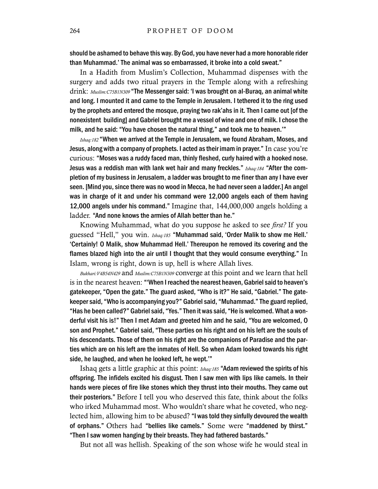should be ashamed to behave this way. By God, you have never had a more honorable rider than Muhammad.' The animal was so embarrassed, it broke into a cold sweat."

In a Hadith from Muslim's Collection, Muhammad dispenses with the surgery and adds two ritual prayers in the Temple along with a refreshing drink: *Muslim:C75B1N309* "The Messenger said: 'I was brought on al-Buraq, an animal white and long. I mounted it and came to the Temple in Jerusalem. I tethered it to the ring used by the prophets and entered the mosque, praying two rak'ahs in it. Then I came out [of the nonexistent building] and Gabriel brought me a vessel of wine and one of milk. I chose the milk, and he said: "You have chosen the natural thing," and took me to heaven.'"

*Ishaq:182* "When we arrived at the Temple in Jerusalem, we found Abraham, Moses, and Jesus, along with a company of prophets. I acted as their imam in prayer." In case you're curious: "Moses was a ruddy faced man, thinly fleshed, curly haired with a hooked nose. Jesus was a reddish man with lank wet hair and many freckles." *Ishaq:184* "After the completion of my business in Jerusalem, a ladder was brought to me finer than any I have ever seen. [Mind you, since there was no wood in Mecca, he had never seen a ladder.] An angel was in charge of it and under his command were 12,000 angels each of them having 12,000 angels under his command." Imagine that, 144,000,000 angels holding a ladder. "And none knows the armies of Allah better than he."

Knowing Muhammad, what do you suppose he asked to see *first?* If you guessed "Hell," you win. *Ishaq:185* "Muhammad said, 'Order Malik to show me Hell.' 'Certainly! O Malik, show Muhammad Hell.' Thereupon he removed its covering and the flames blazed high into the air until I thought that they would consume everything." In Islam, wrong is right, down is up, hell is where Allah lives.

*Bukhari:V4B54N429* and *Muslim:C75B1N309* converge at this point and we learn that hell is in the nearest heaven: "'When I reached the nearest heaven, Gabriel said to heaven's gatekeeper, "Open the gate." The guard asked, "Who is it?" He said, "Gabriel." The gatekeeper said, "Who is accompanying you?" Gabriel said, "Muhammad." The guard replied, "Has he been called?" Gabriel said, "Yes." Then it was said, "He is welcomed. What a wonderful visit his is!" Then I met Adam and greeted him and he said, "You are welcomed, O son and Prophet." Gabriel said, "These parties on his right and on his left are the souls of his descendants. Those of them on his right are the companions of Paradise and the parties which are on his left are the inmates of Hell. So when Adam looked towards his right side, he laughed, and when he looked left, he wept.'"

Ishaq gets a little graphic at this point: *Ishaq:185* "Adam reviewed the spirits of his offspring. The infidels excited his disgust. Then I saw men with lips like camels. In their hands were pieces of fire like stones which they thrust into their mouths. They came out their posteriors." Before I tell you who deserved this fate, think about the folks who irked Muhammad most. Who wouldn't share what he coveted, who neglected him, allowing him to be abused? "I was told they sinfully devoured the wealth of orphans." Others had "bellies like camels." Some were "maddened by thirst." "Then I saw women hanging by their breasts. They had fathered bastards."

But not all was hellish. Speaking of the son whose wife he would steal in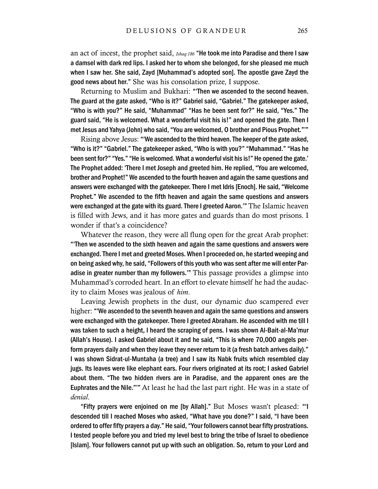an act of incest, the prophet said, *Ishaq:186* "He took me into Paradise and there I saw a damsel with dark red lips. I asked her to whom she belonged, for she pleased me much when I saw her. She said, Zayd [Muhammad's adopted son]. The apostle gave Zayd the good news about her." She was his consolation prize, I suppose.

Returning to Muslim and Bukhari: "'Then we ascended to the second heaven. The guard at the gate asked, "Who is it?" Gabriel said, "Gabriel." The gatekeeper asked, "Who is with you?" He said, "Muhammad" "Has he been sent for?" He said, "Yes." The guard said, "He is welcomed. What a wonderful visit his is!" and opened the gate. Then I met Jesus and Yahya (John) who said, "You are welcomed, O brother and Pious Prophet."'"

Rising above Jesus: "'We ascended to the third heaven. The keeper of the gate asked, "Who is it?" "Gabriel." The gatekeeper asked, "Who is with you?" "Muhammad." "Has he been sent for?" "Yes." "He is welcomed. What a wonderful visit his is!" He opened the gate.' The Prophet added: 'There I met Joseph and greeted him. He replied, "You are welcomed, brother and Prophet!" We ascended to the fourth heaven and again the same questions and answers were exchanged with the gatekeeper. There I met Idris [Enoch]. He said, "Welcome Prophet." We ascended to the fifth heaven and again the same questions and answers were exchanged at the gate with its guard. There I greeted Aaron.'" The Islamic heaven is filled with Jews, and it has more gates and guards than do most prisons. I wonder if that's a coincidence?

Whatever the reason, they were all flung open for the great Arab prophet: "'Then we ascended to the sixth heaven and again the same questions and answers were exchanged. There I met and greeted Moses. When I proceeded on, he started weeping and on being asked why, he said, "Followers of this youth who was sent after me will enter Paradise in greater number than my followers.'" This passage provides a glimpse into Muhammad's corroded heart. In an effort to elevate himself he had the audacity to claim Moses was jealous of *him*.

Leaving Jewish prophets in the dust, our dynamic duo scampered ever higher: "'We ascended to the seventh heaven and again the same questions and answers were exchanged with the gatekeeper. There I greeted Abraham. He ascended with me till I was taken to such a height, I heard the scraping of pens. I was shown Al-Bait-al-Ma'mur (Allah's House). I asked Gabriel about it and he said, "This is where 70,000 angels perform prayers daily and when they leave they never return to it (a fresh batch arrives daily)." I was shown Sidrat-ul-Muntaha (a tree) and I saw its Nabk fruits which resembled clay jugs. Its leaves were like elephant ears. Four rivers originated at its root; I asked Gabriel about them. "The two hidden rivers are in Paradise, and the apparent ones are the Euphrates and the Nile."'" At least he had the last part right. He was in a state of *denial*.

"Fifty prayers were enjoined on me [by Allah]." But Moses wasn't pleased: "'I descended till I reached Moses who asked, "What have you done?" I said, "I have been ordered to offer fifty prayers a day." He said, "Your followers cannot bear fifty prostrations. I tested people before you and tried my level best to bring the tribe of Israel to obedience [Islam]. Your followers cannot put up with such an obligation. So, return to your Lord and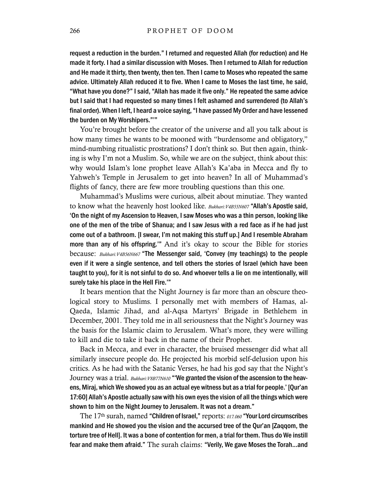request a reduction in the burden." I returned and requested Allah (for reduction) and He made it forty. I had a similar discussion with Moses. Then I returned to Allah for reduction and He made it thirty, then twenty, then ten. Then I came to Moses who repeated the same advice. Ultimately Allah reduced it to five. When I came to Moses the last time, he said, "What have you done?" I said, "Allah has made it five only." He repeated the same advice but I said that I had requested so many times I felt ashamed and surrendered (to Allah's final order). When I left, I heard a voice saying, "I have passed My Order and have lessened the burden on My Worshipers."'"

You're brought before the creator of the universe and all you talk about is how many times he wants to be mooned with "burdensome and obligatory," mind-numbing ritualistic prostrations? I don't think so. But then again, thinking is why I'm not a Muslim. So, while we are on the subject, think about this: why would Islam's lone prophet leave Allah's Ka'aba in Mecca and fly to Yahweh's Temple in Jerusalem to get into heaven? In all of Muhammad's flights of fancy, there are few more troubling questions than this one.

Muhammad's Muslims were curious, albeit about minutiae. They wanted to know what the heavenly host looked like. *Bukhari:V4B55N607* "Allah's Apostle said, 'On the night of my Ascension to Heaven, I saw Moses who was a thin person, looking like one of the men of the tribe of Shanua; and I saw Jesus with a red face as if he had just come out of a bathroom. [I swear, I'm not making this stuff up.] And I resemble Abraham more than any of his offspring.'" And it's okay to scour the Bible for stories because: *Bukhari:V4B56N667* "The Messenger said, 'Convey (my teachings) to the people even if it were a single sentence, and tell others the stories of Israel (which have been taught to you), for it is not sinful to do so. And whoever tells a lie on me intentionally, will surely take his place in the Hell Fire.'"

It bears mention that the Night Journey is far more than an obscure theological story to Muslims. I personally met with members of Hamas, al-Qaeda, Islamic Jihad, and al-Aqsa Martyrs' Brigade in Bethlehem in December, 2001. They told me in all seriousness that the Night's Journey was the basis for the Islamic claim to Jerusalem. What's more, they were willing to kill and die to take it back in the name of their Prophet.

Back in Mecca, and ever in character, the bruised messenger did what all similarly insecure people do. He projected his morbid self-delusion upon his critics. As he had with the Satanic Verses, he had his god say that the Night's Journey was a trial. *Bukhari:V8B77N610* "'We granted the vision of the ascension to the heavens, Miraj, which We showed you as an actual eye witness but as a trial for people.' [Qur'an 17:60] Allah's Apostle actually saw with his own eyes the vision of all the things which were shown to him on the Night Journey to Jerusalem. It was not a dream."

The 17<sup>th</sup> surah, named "Children of Israel," reports: 017.060 "Your Lord circumscribes mankind and He showed you the vision and the accursed tree of the Qur'an [Zaqqom, the torture tree of Hell]. It was a bone of contention for men, a trial for them. Thus do We instill fear and make them afraid." The surah claims: "Verily, We gave Moses the Torah...and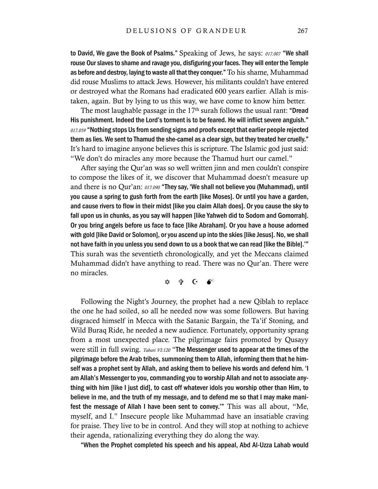to David, We gave the Book of Psalms." Speaking of Jews, he says: *017.007* "We shall rouse Our slaves to shame and ravage you, disfiguring your faces. They will enter the Temple as before and destroy, laying to waste all that they conquer." To his shame, Muhammad did rouse Muslims to attack Jews. However, his militants couldn't have entered or destroyed what the Romans had eradicated 600 years earlier. Allah is mistaken, again. But by lying to us this way, we have come to know him better.

The most laughable passage in the 17<sup>th</sup> surah follows the usual rant: "Dread His punishment. Indeed the Lord's torment is to be feared. He will inflict severe anguish." *017.059* "Nothing stops Us from sending signs and proofs except that earlier people rejected them as lies. We sent to Thamud the she-camel as a clear sign, but they treated her cruelly." It's hard to imagine anyone believes this is scripture. The Islamic god just said: "We don't do miracles any more because the Thamud hurt our camel."

After saying the Qur'an was so well written jinn and men couldn't conspire to compose the likes of it, we discover that Muhammad doesn't measure up and there is no Qur'an: *017.090* "They say, 'We shall not believe you (Muhammad), until you cause a spring to gush forth from the earth [like Moses]. Or until you have a garden, and cause rivers to flow in their midst [like you claim Allah does]. Or you cause the sky to fall upon us in chunks, as you say will happen [like Yahweh did to Sodom and Gomorrah]. Or you bring angels before us face to face [like Abraham]. Or you have a house adorned with gold [like David or Solomon], or you ascend up into the skies [like Jesus]. No, we shall not have faith in you unless you send down to us a book that we can read [like the Bible].'" This surah was the seventieth chronologically, and yet the Meccans claimed Muhammad didn't have anything to read. There was no Qur'an. There were no miracles.

 $\qquad \qquad \, \text{and} \qquad \, \text{and} \qquad \, \text{and} \qquad \, \text{and} \qquad \, \text{and} \qquad \, \text{and} \qquad \, \text{and} \qquad \, \text{and} \qquad \, \text{and} \qquad \, \text{and} \qquad \, \text{and} \qquad \, \text{and} \qquad \, \text{and} \qquad \, \text{and} \qquad \, \text{and} \qquad \, \text{and} \qquad \, \text{and} \qquad \, \text{and} \qquad \, \text{and} \qquad \, \text{and} \qquad \, \text{and} \qquad \, \text$ 

Following the Night's Journey, the prophet had a new Qiblah to replace the one he had soiled, so all he needed now was some followers. But having disgraced himself in Mecca with the Satanic Bargain, the Ta'if Stoning, and Wild Buraq Ride, he needed a new audience. Fortunately, opportunity sprang from a most unexpected place. The pilgrimage fairs promoted by Qusayy were still in full swing. *Tabari VI:120* "The Messenger used to appear at the times of the pilgrimage before the Arab tribes, summoning them to Allah, informing them that he himself was a prophet sent by Allah, and asking them to believe his words and defend him. 'I am Allah's Messenger to you, commanding you to worship Allah and not to associate anything with him [like I just did], to cast off whatever idols you worship other than Him, to believe in me, and the truth of my message, and to defend me so that I may make manifest the message of Allah I have been sent to convey.'" This was all about, "Me, myself, and I." Insecure people like Muhammad have an insatiable craving for praise. They live to be in control. And they will stop at nothing to achieve their agenda, rationalizing everything they do along the way.

"When the Prophet completed his speech and his appeal, Abd Al-Uzza Lahab would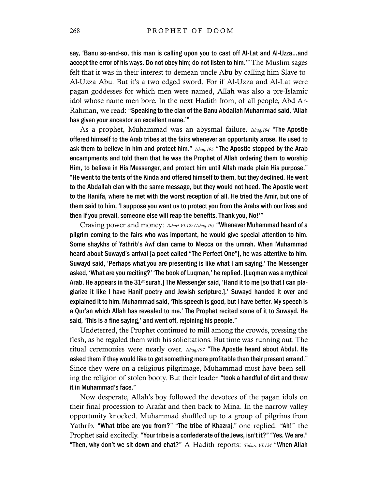say, 'Banu so-and-so, this man is calling upon you to cast off Al-Lat and Al-Uzza…and accept the error of his ways. Do not obey him; do not listen to him.'" The Muslim sages felt that it was in their interest to demean uncle Abu by calling him Slave-to-Al-Uzza Abu. But it's a two edged sword. For if Al-Uzza and Al-Lat were pagan goddesses for which men were named, Allah was also a pre-Islamic idol whose name men bore. In the next Hadith from, of all people, Abd Ar-Rahman, we read: "Speaking to the clan of the Banu Abdallah Muhammad said, 'Allah has given your ancestor an excellent name.'"

As a prophet, Muhammad was an abysmal failure. *Ishaq:194* "The Apostle offered himself to the Arab tribes at the fairs whenever an opportunity arose. He used to ask them to believe in him and protect him." *Ishaq:195* "The Apostle stopped by the Arab encampments and told them that he was the Prophet of Allah ordering them to worship Him, to believe in His Messenger, and protect him until Allah made plain His purpose." "He went to the tents of the Kinda and offered himself to them, but they declined. He went to the Abdallah clan with the same message, but they would not heed. The Apostle went to the Hanifa, where he met with the worst reception of all. He tried the Amir, but one of them said to him, 'I suppose you want us to protect you from the Arabs with our lives and then if you prevail, someone else will reap the benefits. Thank you, No!'"

Craving power and money: *Tabari VI:122/Ishaq:195* "Whenever Muhammad heard of a pilgrim coming to the fairs who was important, he would give special attention to him. Some shaykhs of Yathrib's Awf clan came to Mecca on the umrah. When Muhammad heard about Suwayd's arrival [a poet called "The Perfect One"], he was attentive to him. Suwayd said, 'Perhaps what you are presenting is like what I am saying.' The Messenger asked, 'What are you reciting?' 'The book of Luqman,' he replied. [Luqman was a mythical Arab. He appears in the 31<sup>st</sup> surah.] The Messenger said, 'Hand it to me [so that I can plagiarize it like I have Hanif poetry and Jewish scripture.].' Suwayd handed it over and explained it to him. Muhammad said, 'This speech is good, but I have better. My speech is a Qur'an which Allah has revealed to me.' The Prophet recited some of it to Suwayd. He said, 'This is a fine saying,' and went off, rejoining his people."

Undeterred, the Prophet continued to mill among the crowds, pressing the flesh, as he regaled them with his solicitations. But time was running out. The ritual ceremonies were nearly over. *Ishaq:197* "The Apostle heard about Abdul. He asked them if they would like to get something more profitable than their present errand." Since they were on a religious pilgrimage, Muhammad must have been selling the religion of stolen booty. But their leader "took a handful of dirt and threw it in Muhammad's face."

Now desperate, Allah's boy followed the devotees of the pagan idols on their final procession to Arafat and then back to Mina. In the narrow valley opportunity knocked. Muhammad shuffled up to a group of pilgrims from Yathrib. "What tribe are you from?" "The tribe of Khazraj," one replied. "Ah!" the Prophet said excitedly. "Your tribe is a confederate of the Jews, isn't it?" "Yes. We are." "Then, why don't we sit down and chat?" A Hadith reports: *Tabari VI:124* "When Allah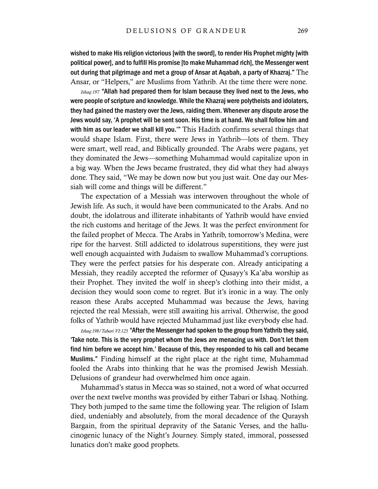wished to make His religion victorious [with the sword], to render His Prophet mighty [with political power], and to fulfill His promise [to make Muhammad rich], the Messenger went out during that pilgrimage and met a group of Ansar at Aqabah, a party of Khazraj." The Ansar, or "Helpers," are Muslims from Yathrib. At the time there were none.

*Ishaq:197* "Allah had prepared them for Islam because they lived next to the Jews, who were people of scripture and knowledge. While the Khazraj were polytheists and idolaters, they had gained the mastery over the Jews, raiding them. Whenever any dispute arose the Jews would say, 'A prophet will be sent soon. His time is at hand. We shall follow him and with him as our leader we shall kill you.'" This Hadith confirms several things that would shape Islam. First, there were Jews in Yathrib—lots of them. They were smart, well read, and Biblically grounded. The Arabs were pagans, yet they dominated the Jews—something Muhammad would capitalize upon in a big way. When the Jews became frustrated, they did what they had always done. They said, "We may be down now but you just wait. One day our Messiah will come and things will be different."

The expectation of a Messiah was interwoven throughout the whole of Jewish life. As such, it would have been communicated to the Arabs. And no doubt, the idolatrous and illiterate inhabitants of Yathrib would have envied the rich customs and heritage of the Jews. It was the perfect environment for the failed prophet of Mecca. The Arabs in Yathrib, tomorrow's Medina, were ripe for the harvest. Still addicted to idolatrous superstitions, they were just well enough acquainted with Judaism to swallow Muhammad's corruptions. They were the perfect patsies for his desperate con. Already anticipating a Messiah, they readily accepted the reformer of Qusayy's Ka'aba worship as their Prophet. They invited the wolf in sheep's clothing into their midst, a decision they would soon come to regret. But it's ironic in a way. The only reason these Arabs accepted Muhammad was because the Jews, having rejected the real Messiah, were still awaiting his arrival. Otherwise, the good folks of Yathrib would have rejected Muhammad just like everybody else had.

*Ishaq:198/Tabari VI:125* "After the Messenger had spoken to the group from Yathrib they said, 'Take note. This is the very prophet whom the Jews are menacing us with. Don't let them find him before we accept him.' Because of this, they responded to his call and became Muslims." Finding himself at the right place at the right time, Muhammad fooled the Arabs into thinking that he was the promised Jewish Messiah. Delusions of grandeur had overwhelmed him once again.

Muhammad's status in Mecca was so stained, not a word of what occurred over the next twelve months was provided by either Tabari or Ishaq. Nothing. They both jumped to the same time the following year. The religion of Islam died, undeniably and absolutely, from the moral decadence of the Quraysh Bargain, from the spiritual depravity of the Satanic Verses, and the hallucinogenic lunacy of the Night's Journey. Simply stated, immoral, possessed lunatics don't make good prophets.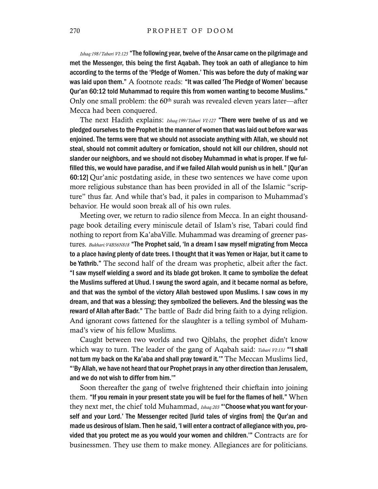*Ishaq:198/Tabari VI:125* "The following year, twelve of the Ansar came on the pilgrimage and met the Messenger, this being the first Aqabah. They took an oath of allegiance to him according to the terms of the 'Pledge of Women.' This was before the duty of making war was laid upon them." A footnote reads: "It was called 'The Pledge of Women' because Qur'an 60:12 told Muhammad to require this from women wanting to become Muslims." Only one small problem: the 60<sup>th</sup> surah was revealed eleven years later—after Mecca had been conquered.

The next Hadith explains: *Ishaq:199/Tabari VI:127* "There were twelve of us and we pledged ourselves to the Prophet in the manner of women that was laid out before war was enjoined. The terms were that we should not associate anything with Allah, we should not steal, should not commit adultery or fornication, should not kill our children, should not slander our neighbors, and we should not disobey Muhammad in what is proper. If we fulfilled this, we would have paradise, and if we failed Allah would punish us in hell." [Qur'an 60:12] Qur'anic postdating aside, in these two sentences we have come upon more religious substance than has been provided in all of the Islamic "scripture" thus far. And while that's bad, it pales in comparison to Muhammad's behavior. He would soon break all of his own rules.

Meeting over, we return to radio silence from Mecca. In an eight thousandpage book detailing every miniscule detail of Islam's rise, Tabari could find nothing to report from Ka'abaVille. Muhammad was dreaming of greener pastures. *Bukhari:V4B56N818* "The Prophet said, 'In a dream I saw myself migrating from Mecca to a place having plenty of date trees. I thought that it was Yemen or Hajar, but it came to be Yathrib." The second half of the dream was prophetic, albeit after the fact. "I saw myself wielding a sword and its blade got broken. It came to symbolize the defeat the Muslims suffered at Uhud. I swung the sword again, and it became normal as before, and that was the symbol of the victory Allah bestowed upon Muslims. I saw cows in my dream, and that was a blessing; they symbolized the believers. And the blessing was the reward of Allah after Badr." The battle of Badr did bring faith to a dying religion. And ignorant cows fattened for the slaughter is a telling symbol of Muhammad's view of his fellow Muslims.

Caught between two worlds and two Qiblahs, the prophet didn't know which way to turn. The leader of the gang of Aqabah said: *Tabari VI:131* "'I shall not turn my back on the Ka'aba and shall pray toward it.'" The Meccan Muslims lied, "'By Allah, we have not heard that our Prophet prays in any other direction than Jerusalem, and we do not wish to differ from him.'"

Soon thereafter the gang of twelve frightened their chieftain into joining them. "If you remain in your present state you will be fuel for the flames of hell." When they next met, the chief told Muhammad, *Ishaq:203* "'Choose what you want for yourself and your Lord.' The Messenger recited [lurid tales of virgins from] the Qur'an and made us desirous of Islam. Then he said, 'I will enter a contract of allegiance with you, provided that you protect me as you would your women and children.'" Contracts are for businessmen. They use them to make money. Allegiances are for politicians.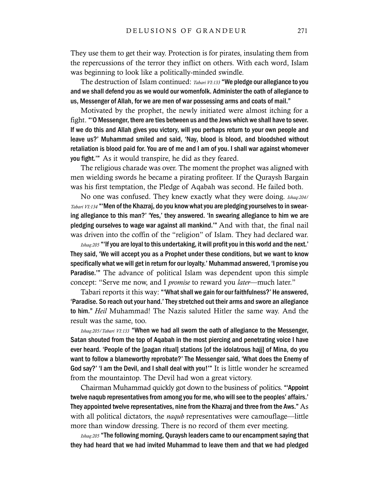They use them to get their way. Protection is for pirates, insulating them from the repercussions of the terror they inflict on others. With each word, Islam was beginning to look like a politically-minded swindle.

The destruction of Islam continued: *Tabari VI:133* "We pledge our allegiance to you and we shall defend you as we would our womenfolk. Administer the oath of allegiance to us, Messenger of Allah, for we are men of war possessing arms and coats of mail."

Motivated by the prophet, the newly initiated were almost itching for a fight. "'O Messenger, there are ties between us and the Jews which we shall have to sever. If we do this and Allah gives you victory, will you perhaps return to your own people and leave us?' Muhammad smiled and said, 'Nay, blood is blood, and bloodshed without retaliation is blood paid for. You are of me and I am of you. I shall war against whomever you fight.'" As it would transpire, he did as they feared.

The religious charade was over. The moment the prophet was aligned with men wielding swords he became a pirating profiteer. If the Quraysh Bargain was his first temptation, the Pledge of Aqabah was second. He failed both.

No one was confused. They knew exactly what they were doing. *Ishaq:204/ Tabari VI:134* "'Men of the Khazraj, do you know what you are pledging yourselves to in swearing allegiance to this man?' 'Yes,' they answered. 'In swearing allegiance to him we are pledging ourselves to wage war against all mankind.'" And with that, the final nail was driven into the coffin of the "religion" of Islam. They had declared war.

*Ishaq:205* "'If you are loyal to this undertaking, it will profit you in this world and the next.' They said, 'We will accept you as a Prophet under these conditions, but we want to know specifically what we will get in return for our loyalty.' Muhammad answered, 'I promise you Paradise.'" The advance of political Islam was dependent upon this simple concept: "Serve me now, and I *promise* to reward you *later*—much later."

Tabari reports it this way: "'What shall we gain for our faithfulness?' He answered, 'Paradise. So reach out your hand.' They stretched out their arms and swore an allegiance to him." *Heil* Muhammad! The Nazis saluted Hitler the same way. And the result was the same, too.

*Ishaq:205/Tabari VI:133* "When we had all sworn the oath of allegiance to the Messenger, Satan shouted from the top of Aqabah in the most piercing and penetrating voice I have ever heard. 'People of the [pagan ritual] stations [of the idolatrous hajj] of Mina, do you want to follow a blameworthy reprobate?' The Messenger said, 'What does the Enemy of God say?' 'I am the Devil, and I shall deal with you!'" It is little wonder he screamed from the mountaintop. The Devil had won a great victory.

Chairman Muhammad quickly got down to the business of politics. "'Appoint twelve naqub representatives from among you for me, who will see to the peoples' affairs.' They appointed twelve representatives, nine from the Khazraj and three from the Aws." As with all political dictators, the *naqub* representatives were camouflage—little more than window dressing. There is no record of them ever meeting.

*Ishaq:205* "The following morning, Quraysh leaders came to our encampment saying that they had heard that we had invited Muhammad to leave them and that we had pledged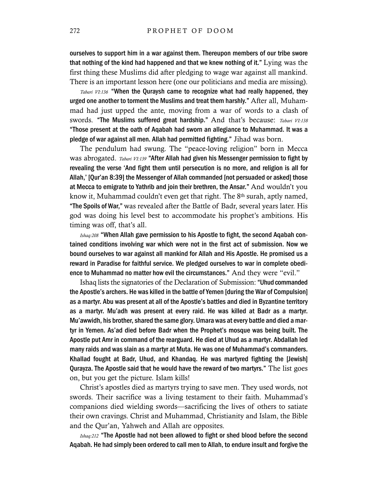ourselves to support him in a war against them. Thereupon members of our tribe swore that nothing of the kind had happened and that we knew nothing of it." Lying was the first thing these Muslims did after pledging to wage war against all mankind. There is an important lesson here (one our politicians and media are missing).

*Tabari VI:136* "When the Quraysh came to recognize what had really happened, they urged one another to torment the Muslims and treat them harshly." After all, Muhammad had just upped the ante, moving from a war of words to a clash of swords. "The Muslims suffered great hardship." And that's because: *Tabari VI:138* "Those present at the oath of Aqabah had sworn an allegiance to Muhammad. It was a pledge of war against all men. Allah had permitted fighting." Jihad was born.

The pendulum had swung. The "peace-loving religion" born in Mecca was abrogated. *Tabari VI:139* "After Allah had given his Messenger permission to fight by revealing the verse 'And fight them until persecution is no more, and religion is all for Allah,' [Qur'an 8:39] the Messenger of Allah commanded [not persuaded or asked] those at Mecca to emigrate to Yathrib and join their brethren, the Ansar." And wouldn't you know it, Muhammad couldn't even get that right. The 8<sup>th</sup> surah, aptly named, "The Spoils of War," was revealed after the Battle of Badr, several years later. His god was doing his level best to accommodate his prophet's ambitions. His timing was off, that's all.

*Ishaq:208* "When Allah gave permission to his Apostle to fight, the second Aqabah contained conditions involving war which were not in the first act of submission. Now we bound ourselves to war against all mankind for Allah and His Apostle. He promised us a reward in Paradise for faithful service. We pledged ourselves to war in complete obedience to Muhammad no matter how evil the circumstances." And they were "evil."

Ishaq lists the signatories of the Declaration of Submission:"Uhud commanded the Apostle's archers. He was killed in the battle of Yemen [during the War of Compulsion] as a martyr. Abu was present at all of the Apostle's battles and died in Byzantine territory as a martyr. Mu'adh was present at every raid. He was killed at Badr as a martyr. Mu'awwidh, his brother, shared the same glory. Umara was at every battle and died a martyr in Yemen. As'ad died before Badr when the Prophet's mosque was being built. The Apostle put Amr in command of the rearguard. He died at Uhud as a martyr. Abdallah led many raids and was slain as a martyr at Muta. He was one of Muhammad's commanders. Khallad fought at Badr, Uhud, and Khandaq. He was martyred fighting the [Jewish] Qurayza. The Apostle said that he would have the reward of two martyrs." The list goes on, but you get the picture. Islam kills!

Christ's apostles died as martyrs trying to save men. They used words, not swords. Their sacrifice was a living testament to their faith. Muhammad's companions died wielding swords—sacrificing the lives of others to satiate their own cravings. Christ and Muhammad, Christianity and Islam, the Bible and the Qur'an, Yahweh and Allah are opposites.

*Ishaq:212* "The Apostle had not been allowed to fight or shed blood before the second Aqabah. He had simply been ordered to call men to Allah, to endure insult and forgive the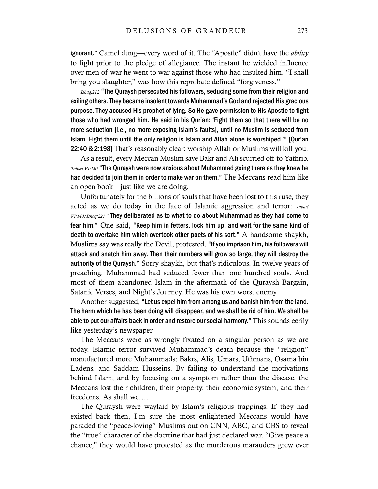ignorant." Camel dung—every word of it. The "Apostle" didn't have the *ability* to fight prior to the pledge of allegiance. The instant he wielded influence over men of war he went to war against those who had insulted him. "I shall bring you slaughter," was how this reprobate defined "forgiveness."

*Ishaq:212* "The Quraysh persecuted his followers, seducing some from their religion and exiling others. They became insolent towards Muhammad's God and rejected His gracious purpose. They accused His prophet of lying. So He gave permission to His Apostle to fight those who had wronged him. He said in his Qur'an: 'Fight them so that there will be no more seduction [i.e., no more exposing Islam's faults], until no Muslim is seduced from Islam. Fight them until the only religion is Islam and Allah alone is worshiped.'" [Qur'an 22:40 & 2:198] That's reasonably clear: worship Allah or Muslims will kill you.

As a result, every Meccan Muslim save Bakr and Ali scurried off to Yathrib. *Tabari VI:140* "The Quraysh were now anxious about Muhammad going there as they knew he had decided to join them in order to make war on them." The Meccans read him like an open book—just like we are doing.

Unfortunately for the billions of souls that have been lost to this ruse, they acted as we do today in the face of Islamic aggression and terror: *Tabari VI:140/Ishaq:221* "They deliberated as to what to do about Muhammad as they had come to fear him." One said, "Keep him in fetters, lock him up, and wait for the same kind of death to overtake him which overtook other poets of his sort." A handsome shaykh, Muslims say was really the Devil, protested. "If you imprison him, his followers will attack and snatch him away. Then their numbers will grow so large, they will destroy the authority of the Quraysh." Sorry shaykh, but that's ridiculous. In twelve years of preaching, Muhammad had seduced fewer than one hundred souls. And most of them abandoned Islam in the aftermath of the Quraysh Bargain, Satanic Verses, and Night's Journey. He was his own worst enemy.

Another suggested, "Let us expel him from among us and banish him from the land. The harm which he has been doing will disappear, and we shall be rid of him. We shall be able to put our affairs back in order and restore our social harmony." This sounds eerily like yesterday's newspaper.

The Meccans were as wrongly fixated on a singular person as we are today. Islamic terror survived Muhammad's death because the "religion" manufactured more Muhammads: Bakrs, Alis, Umars, Uthmans, Osama bin Ladens, and Saddam Husseins. By failing to understand the motivations behind Islam, and by focusing on a symptom rather than the disease, the Meccans lost their children, their property, their economic system, and their freedoms. As shall we….

The Quraysh were waylaid by Islam's religious trappings. If they had existed back then, I'm sure the most enlightened Meccans would have paraded the "peace-loving" Muslims out on CNN, ABC, and CBS to reveal the "true" character of the doctrine that had just declared war. "Give peace a chance," they would have protested as the murderous marauders grew ever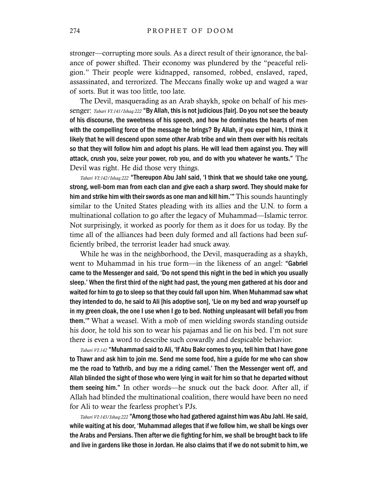stronger—corrupting more souls. As a direct result of their ignorance, the balance of power shifted. Their economy was plundered by the "peaceful religion." Their people were kidnapped, ransomed, robbed, enslaved, raped, assassinated, and terrorized. The Meccans finally woke up and waged a war of sorts. But it was too little, too late.

The Devil, masquerading as an Arab shaykh, spoke on behalf of his messenger: *Tabari VI:141/Ishaq:222* "By Allah, this is not judicious [fair]. Do you not see the beauty of his discourse, the sweetness of his speech, and how he dominates the hearts of men with the compelling force of the message he brings? By Allah, if you expel him, I think it likely that he will descend upon some other Arab tribe and win them over with his recitals so that they will follow him and adopt his plans. He will lead them against you. They will attack, crush you, seize your power, rob you, and do with you whatever he wants." The Devil was right. He did those very things.

*Tabari VI:142/Ishaq:222* "Thereupon Abu Jahl said, 'I think that we should take one young, strong, well-born man from each clan and give each a sharp sword. They should make for him and strike him with their swords as one man and kill him.'" This sounds hauntingly similar to the United States pleading with its allies and the U.N. to form a multinational collation to go after the legacy of Muhammad—Islamic terror. Not surprisingly, it worked as poorly for them as it does for us today. By the time all of the alliances had been duly formed and all factions had been sufficiently bribed, the terrorist leader had snuck away.

While he was in the neighborhood, the Devil, masquerading as a shaykh, went to Muhammad in his true form—in the likeness of an angel: "Gabriel came to the Messenger and said, 'Do not spend this night in the bed in which you usually sleep.' When the first third of the night had past, the young men gathered at his door and waited for him to go to sleep so that they could fall upon him. When Muhammad saw what they intended to do, he said to Ali [his adoptive son], 'Lie on my bed and wrap yourself up in my green cloak, the one I use when I go to bed. Nothing unpleasant will befall you from them.'" What a weasel. With a mob of men wielding swords standing outside his door, he told his son to wear his pajamas and lie on his bed. I'm not sure there is even a word to describe such cowardly and despicable behavior.

*Tabari VI:142* "Muhammad said to Ali, 'If Abu Bakr comes to you, tell him that I have gone to Thawr and ask him to join me. Send me some food, hire a guide for me who can show me the road to Yathrib, and buy me a riding camel.' Then the Messenger went off, and Allah blinded the sight of those who were lying in wait for him so that he departed without them seeing him." In other words—he snuck out the back door. After all, if Allah had blinded the multinational coalition, there would have been no need for Ali to wear the fearless prophet's PJs.

*Tabari VI:143/Ishaq:222* "Among those who had gathered against him was Abu Jahl. He said, while waiting at his door, 'Muhammad alleges that if we follow him, we shall be kings over the Arabs and Persians. Then after we die fighting for him, we shall be brought back to life and live in gardens like those in Jordan. He also claims that if we do not submit to him, we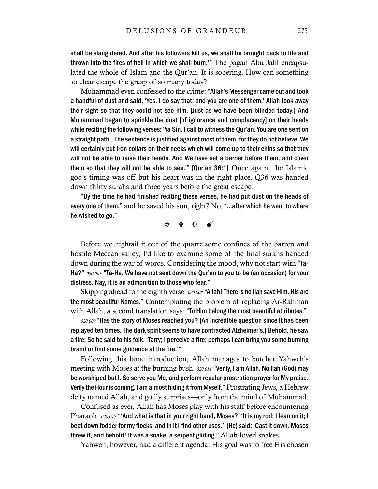shall be slaughtered. And after his followers kill us, we shall be brought back to life and thrown into the fires of hell in which we shall burn.'" The pagan Abu Jahl encapsulated the whole of Islam and the Qur'an. It is sobering. How can something so clear escape the grasp of so many today?

Muhammad even confessed to the crime: "Allah's Messenger came out and took a handful of dust and said, 'Yes, I do say that; and you are one of them.' Allah took away their sight so that they could not see him. [Just as we have been blinded today.] And Muhammad began to sprinkle the dust [of ignorance and complacency] on their heads while reciting the following verses: 'Ya Sin. I call to witness the Qur'an. You are one sent on a straight path…The sentence is justified against most of them, for they do not believe. We will certainly put iron collars on their necks which will come up to their chins so that they will not be able to raise their heads. And We have set a barrier before them, and cover them so that they will not be able to see.'" [Qur'an 36:1] Once again, the Islamic god's timing was off but his heart was in the right place. Q36 was handed down thirty surahs and three years before the great escape.

"By the time he had finished reciting these verses, he had put dust on the heads of every one of them," and he saved his son, right? No. "…after which he went to where he wished to go."

@ = A 0

Before we hightail it out of the quarrelsome confines of the barren and hostile Meccan valley, I'd like to examine some of the final surahs handed down during the war of words. Considering the mood, why not start with "Ta-Ha?"  $020.001$  "Ta-Ha. We have not sent down the Qur'an to you to be (an occasion) for your distress. Nay, it is an admonition to those who fear."

Skipping ahead to the eighth verse: 020.008 "Allah! There is no Ilah save Him. His are the most beautiful Names." Contemplating the problem of replacing Ar-Rahman with Allah, a second translation says: "To Him belong the most beautiful attributes."

*020.009* "Has the story of Moses reached you? [An incredible question since it has been replayed ten times. The dark spirit seems to have contracted Alzheimer's.] Behold, he saw a fire: So he said to his folk, 'Tarry; I perceive a fire; perhaps I can bring you some burning brand or find some guidance at the fire.'"

Following this lame introduction, Allah manages to butcher Yahweh's meeting with Moses at the burning bush. *020.014* "Verily, I am Allah. No Ilah (God) may be worshiped but I. So serve you Me, and perform regular prostration prayer for My praise. Verily the Hour is coming. I am almost hiding it from Myself." Prostrating Jews, a Hebrew deity named Allah, and godly surprises—only from the mind of Muhammad.

Confused as ever, Allah has Moses play with his staff before encountering Pharaoh. *020.017* "And what is that in your right hand, Moses?' 'It is my rod: I lean on it; I beat down fodder for my flocks; and in it I find other uses.' (He) said: 'Cast it down. Moses threw it, and behold! It was a snake, a serpent gliding." Allah loved snakes.

Yahweh, however, had a different agenda. His goal was to free His chosen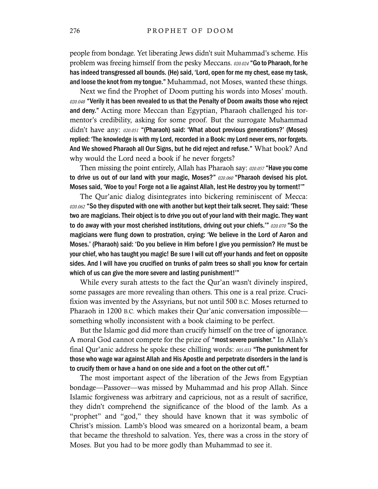people from bondage. Yet liberating Jews didn't suit Muhammad's scheme. His problem was freeing himself from the pesky Meccans. *020.024* "Go to Pharaoh, for he has indeed transgressed all bounds. (He) said, 'Lord, open for me my chest, ease my task, and loose the knot from my tongue." Muhammad, not Moses, wanted these things.

Next we find the Prophet of Doom putting his words into Moses' mouth. *020.048* "Verily it has been revealed to us that the Penalty of Doom awaits those who reject and deny." Acting more Meccan than Egyptian, Pharaoh challenged his tormentor's credibility, asking for some proof. But the surrogate Muhammad didn't have any: *020.051* "(Pharaoh) said: 'What about previous generations?' (Moses) replied: 'The knowledge is with my Lord, recorded in a Book: my Lord never errs, nor forgets. And We showed Pharaoh all Our Signs, but he did reject and refuse." What book? And why would the Lord need a book if he never forgets?

Then missing the point entirely, Allah has Pharaoh say: *020.057* "Have you come to drive us out of our land with your magic, Moses?" *020.060* "Pharaoh devised his plot. Moses said, 'Woe to you! Forge not a lie against Allah, lest He destroy you by torment!'"

The Qur'anic dialog disintegrates into bickering reminiscent of Mecca: *020.062* "So they disputed with one with another but kept their talk secret. They said: 'These two are magicians. Their object is to drive you out of your land with their magic. They want to do away with your most cherished institutions, driving out your chiefs.'" *020.070* "So the magicians were flung down to prostration, crying: 'We believe in the Lord of Aaron and Moses.' (Pharaoh) said: 'Do you believe in Him before I give you permission? He must be your chief, who has taught you magic! Be sure I will cut off your hands and feet on opposite sides. And I will have you crucified on trunks of palm trees so shall you know for certain which of us can give the more severe and lasting punishment!"

While every surah attests to the fact the Qur'an wasn't divinely inspired, some passages are more revealing than others. This one is a real prize. Crucifixion was invented by the Assyrians, but not until 500 B.C. Moses returned to Pharaoh in 1200 B.C. which makes their Qur'anic conversation impossible something wholly inconsistent with a book claiming to be perfect.

But the Islamic god did more than crucify himself on the tree of ignorance. A moral God cannot compete for the prize of "most severe punisher." In Allah's final Qur'anic address he spoke these chilling words: *005.033* "The punishment for those who wage war against Allah and His Apostle and perpetrate disorders in the land is to crucify them or have a hand on one side and a foot on the other cut off."

The most important aspect of the liberation of the Jews from Egyptian bondage—Passover—was missed by Muhammad and his prop Allah. Since Islamic forgiveness was arbitrary and capricious, not as a result of sacrifice, they didn't comprehend the significance of the blood of the lamb. As a "prophet" and "god," they should have known that it was symbolic of Christ's mission. Lamb's blood was smeared on a horizontal beam, a beam that became the threshold to salvation. Yes, there was a cross in the story of Moses. But you had to be more godly than Muhammad to see it.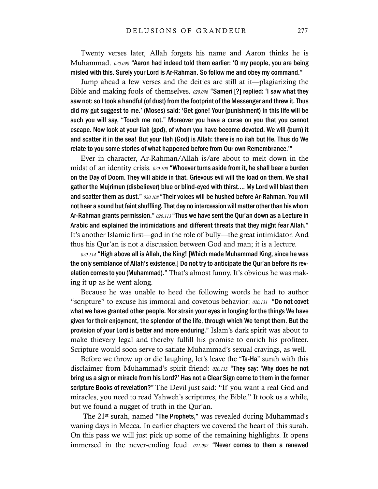Twenty verses later, Allah forgets his name and Aaron thinks he is Muhammad. *020.090* "Aaron had indeed told them earlier: 'O my people, you are being misled with this. Surely your Lord is Ar-Rahman. So follow me and obey my command."

Jump ahead a few verses and the deities are still at it—plagiarizing the Bible and making fools of themselves. *020.096* "Sameri [?] replied: 'I saw what they saw not: so I took a handful (of dust) from the footprint of the Messenger and threw it. Thus did my gut suggest to me.' (Moses) said: 'Get gone! Your (punishment) in this life will be such you will say, "Touch me not." Moreover you have a curse on you that you cannot escape. Now look at your ilah (god), of whom you have become devoted. We will (burn) it and scatter it in the sea! But your Ilah (God) is Allah: there is no ilah but He. Thus do We relate to you some stories of what happened before from Our own Remembrance.'"

Ever in character, Ar-Rahman/Allah is/are about to melt down in the midst of an identity crisis. *020.100* "Whoever turns aside from it, he shall bear a burden on the Day of Doom. They will abide in that. Grievous evil will the load on them. We shall gather the Mujrimun (disbeliever) blue or blind-eyed with thirst.... My Lord will blast them and scatter them as dust." *020.108* "Their voices will be hushed before Ar-Rahman. You will not hear a sound but faint shuffling. That day no intercession will matter other than his whom Ar-Rahman grants permission." *020.113* "Thus we have sent the Qur'an down as a Lecture in Arabic and explained the intimidations and different threats that they might fear Allah." It's another Islamic first—god in the role of bully—the great intimidator. And thus his Qur'an is not a discussion between God and man; it is a lecture.

*020.114* "High above all is Allah, the King! [Which made Muhammad King, since he was the only semblance of Allah's existence.] Do not try to anticipate the Qur'an before its revelation comes to you (Muhammad)." That's almost funny. It's obvious he was making it up as he went along.

Because he was unable to heed the following words he had to author "scripture" to excuse his immoral and covetous behavior: *020.131* "Do not covet what we have granted other people. Nor strain your eyes in longing for the things We have given for their enjoyment, the splendor of the life, through which We tempt them. But the provision of your Lord is better and more enduring." Islam's dark spirit was about to make thievery legal and thereby fulfill his promise to enrich his profiteer. Scripture would soon serve to satiate Muhammad's sexual cravings, as well.

Before we throw up or die laughing, let's leave the "Ta-Ha" surah with this disclaimer from Muhammad's spirit friend: *020.133* "They say: 'Why does he not bring us a sign or miracle from his Lord?' Has not a Clear Sign come to them in the former scripture Books of revelation?" The Devil just said: "If you want a real God and miracles, you need to read Yahweh's scriptures, the Bible." It took us a while, but we found a nugget of truth in the Qur'an.

The 21st surah, named "The Prophets," was revealed during Muhammad's waning days in Mecca. In earlier chapters we covered the heart of this surah. On this pass we will just pick up some of the remaining highlights. It opens immersed in the never-ending feud: *021.002* "Never comes to them a renewed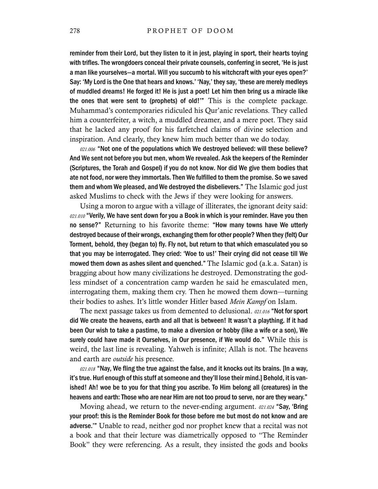reminder from their Lord, but they listen to it in jest, playing in sport, their hearts toying with trifles. The wrongdoers conceal their private counsels, conferring in secret, 'He is just a man like yourselves—a mortal. Will you succumb to his witchcraft with your eyes open?' Say: 'My Lord is the One that hears and knows.' 'Nay,' they say, 'these are merely medleys of muddled dreams! He forged it! He is just a poet! Let him then bring us a miracle like the ones that were sent to (prophets) of old!'" This is the complete package. Muhammad's contemporaries ridiculed his Qur'anic revelations. They called him a counterfeiter, a witch, a muddled dreamer, and a mere poet. They said that he lacked any proof for his farfetched claims of divine selection and inspiration. And clearly, they knew him much better than we do today.

*021.006* "Not one of the populations which We destroyed believed: will these believe? And We sent not before you but men, whom We revealed. Ask the keepers of the Reminder (Scriptures, the Torah and Gospel) if you do not know. Nor did We give them bodies that ate not food, nor were they immortals. Then We fulfilled to them the promise. So we saved them and whom We pleased, and We destroyed the disbelievers." The Islamic god just asked Muslims to check with the Jews if they were looking for answers.

Using a moron to argue with a village of illiterates, the ignorant deity said: *021.010* "Verily, We have sent down for you a Book in which is your reminder. Have you then no sense?" Returning to his favorite theme: "How many towns have We utterly destroyed because of their wrongs, exchanging them for other people? When they (felt) Our Torment, behold, they (began to) fly. Fly not, but return to that which emasculated you so that you may be interrogated. They cried: 'Woe to us!' Their crying did not cease till We mowed them down as ashes silent and quenched." The Islamic god (a.k.a. Satan) is bragging about how many civilizations he destroyed. Demonstrating the godless mindset of a concentration camp warden he said he emasculated men, interrogating them, making them cry. Then he mowed them down—turning their bodies to ashes. It's little wonder Hitler based *Mein Kampf* on Islam.

The next passage takes us from demented to delusional. *021.016* "Not for sport did We create the heavens, earth and all that is between! It wasn't a plaything. If it had been Our wish to take a pastime, to make a diversion or hobby (like a wife or a son), We surely could have made it Ourselves, in Our presence, if We would do." While this is weird, the last line is revealing. Yahweh is infinite; Allah is not. The heavens and earth are *outside* his presence.

*021.018* "Nay, We fling the true against the false, and it knocks out its brains. [In a way, it's true. Hurl enough of this stuff at someone and they'll lose their mind.] Behold, it is vanished! Ah! woe be to you for that thing you ascribe. To Him belong all (creatures) in the heavens and earth: Those who are near Him are not too proud to serve, nor are they weary."

Moving ahead, we return to the never-ending argument. *021.024* "Say, 'Bring your proof: this is the Reminder Book for those before me but most do not know and are adverse.'" Unable to read, neither god nor prophet knew that a recital was not a book and that their lecture was diametrically opposed to "The Reminder Book" they were referencing. As a result, they insisted the gods and books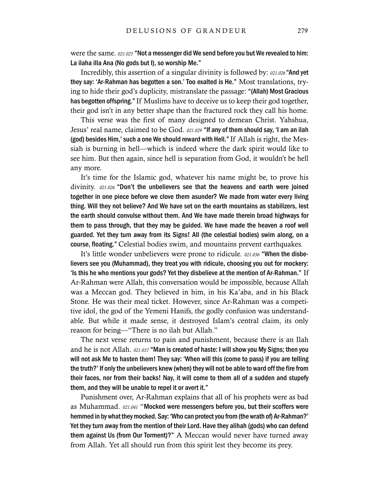were the same. *021.025* "Not a messenger did We send before you but We revealed to him: La ilaha illa Ana (No gods but I), so worship Me."

Incredibly, this assertion of a singular divinity is followed by: *021.026* "And yet they say: 'Ar-Rahman has begotten a son.' Too exalted is He." Most translations, trying to hide their god's duplicity, mistranslate the passage: "(Allah) Most Gracious has begotten offspring." If Muslims have to deceive us to keep their god together, their god isn't in any better shape than the fractured rock they call his home.

This verse was the first of many designed to demean Christ. Yahshua, Jesus' real name, claimed to be God. 021.029 "If any of them should say, 'I am an ilah (god) besides Him,' such a one We should reward with Hell." If Allah is right, the Messiah is burning in hell—which is indeed where the dark spirit would like to see him. But then again, since hell is separation from God, it wouldn't be hell any more.

It's time for the Islamic god, whatever his name might be, to prove his divinity. *021.026* "Don't the unbelievers see that the heavens and earth were joined together in one piece before we clove them asunder? We made from water every living thing. Will they not believe? And We have set on the earth mountains as stabilizers, lest the earth should convulse without them. And We have made therein broad highways for them to pass through, that they may be guided. We have made the heaven a roof well guarded. Yet they turn away from its Signs! All (the celestial bodies) swim along, on a course, floating." Celestial bodies swim, and mountains prevent earthquakes.

It's little wonder unbelievers were prone to ridicule. *021.036* "When the disbelievers see you (Muhammad), they treat you with ridicule, choosing you out for mockery: 'Is this he who mentions your gods? Yet they disbelieve at the mention of Ar-Rahman." If Ar-Rahman were Allah, this conversation would be impossible, because Allah was a Meccan god. They believed in him, in his Ka'aba, and in his Black Stone. He was their meal ticket. However, since Ar-Rahman was a competitive idol, the god of the Yemeni Hanifs, the godly confusion was understandable. But while it made sense, it destroyed Islam's central claim, its only reason for being—"There is no ilah but Allah."

The next verse returns to pain and punishment, because there is an Ilah and he is not Allah. *021.037* "Man is created of haste: I will show you My Signs; then you will not ask Me to hasten them! They say: 'When will this (come to pass) if you are telling the truth?' If only the unbelievers knew (when) they will not be able to ward off the fire from their faces, nor from their backs! Nay, it will come to them all of a sudden and stupefy them, and they will be unable to repel it or avert it."

Punishment over, Ar-Rahman explains that all of his prophets were as bad as Muhammad. *021.041* "Mocked were messengers before you, but their scoffers were hemmed in by what they mocked. Say: 'Who can protect you from (the wrath of) Ar-Rahman?' Yet they turn away from the mention of their Lord. Have they alihah (gods) who can defend them against Us (from Our Torment)?" A Meccan would never have turned away from Allah. Yet all should run from this spirit lest they become its prey.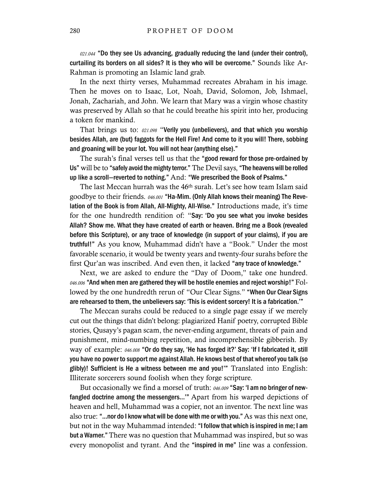*021.044* "Do they see Us advancing, gradually reducing the land (under their control), curtailing its borders on all sides? It is they who will be overcome." Sounds like Ar-Rahman is promoting an Islamic land grab.

In the next thirty verses, Muhammad recreates Abraham in his image. Then he moves on to Isaac, Lot, Noah, David, Solomon, Job, Ishmael, Jonah, Zachariah, and John. We learn that Mary was a virgin whose chastity was preserved by Allah so that he could breathe his spirit into her, producing a token for mankind.

That brings us to: *021.098* "Verily you (unbelievers), and that which you worship besides Allah, are (but) faggots for the Hell Fire! And come to it you will! There, sobbing and groaning will be your lot. You will not hear (anything else)."

The surah's final verses tell us that the "good reward for those pre-ordained by Us" will be to "safely avoid the mighty terror." The Devil says, "The heavens will be rolled up like a scroll—reverted to nothing." And: "We prescribed the Book of Psalms."

The last Meccan hurrah was the 46<sup>th</sup> surah. Let's see how team Islam said goodbye to their friends. *046.001* "Ha-Mim. (Only Allah knows their meaning) The Revelation of the Book is from Allah, All-Mighty, All-Wise." Introductions made, it's time for the one hundredth rendition of: "Say: 'Do you see what you invoke besides Allah? Show me. What they have created of earth or heaven. Bring me a Book (revealed before this Scripture), or any trace of knowledge (in support of your claims), if you are truthful!" As you know, Muhammad didn't have a "Book." Under the most favorable scenario, it would be twenty years and twenty-four surahs before the first Qur'an was inscribed. And even then, it lacked "any trace of knowledge."

Next, we are asked to endure the "Day of Doom," take one hundred. *046.006* "And when men are gathered they will be hostile enemies and reject worship!" Followed by the one hundredth rerun of "Our Clear Signs." "When Our Clear Signs are rehearsed to them, the unbelievers say: 'This is evident sorcery! It is a fabrication.'"

The Meccan surahs could be reduced to a single page essay if we merely cut out the things that didn't belong: plagiarized Hanif poetry, corrupted Bible stories, Qusayy's pagan scam, the never-ending argument, threats of pain and punishment, mind-numbing repetition, and incomprehensible gibberish. By way of example: *046.008* "Or do they say, 'He has forged it?' Say: 'If I fabricated it, still you have no power to support me against Allah. He knows best of that whereof you talk (so glibly)! Sufficient is He a witness between me and you!'" Translated into English: Illiterate sorcerers sound foolish when they forge scripture.

But occasionally we find a morsel of truth: *046.009* "Say: 'I am no bringer of newfangled doctrine among the messengers...'" Apart from his warped depictions of heaven and hell, Muhammad was a copier, not an inventor. The next line was also true: "...nor do I know what will be done with me or with you." As was this next one, but not in the way Muhammad intended: "I follow that which is inspired in me; I am but a Warner." There was no question that Muhammad was inspired, but so was every monopolist and tyrant. And the "inspired in me" line was a confession.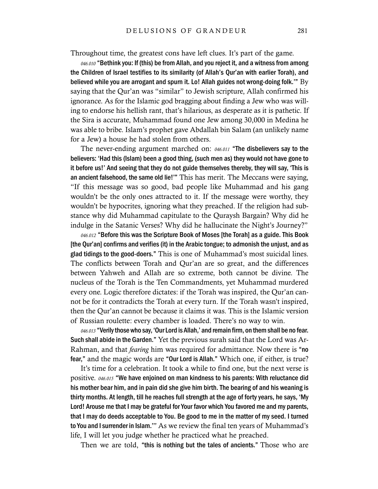Throughout time, the greatest cons have left clues. It's part of the game.

*046.010* "Bethink you: If (this) be from Allah, and you reject it, and a witness from among the Children of Israel testifies to its similarity (of Allah's Qur'an with earlier Torah), and believed while you are arrogant and spurn it. Lo! Allah guides not wrong-doing folk.'" By saying that the Qur'an was "similar" to Jewish scripture, Allah confirmed his ignorance. As for the Islamic god bragging about finding a Jew who was willing to endorse his hellish rant, that's hilarious, as desperate as it is pathetic. If the Sira is accurate, Muhammad found one Jew among 30,000 in Medina he was able to bribe. Islam's prophet gave Abdallah bin Salam (an unlikely name for a Jew) a house he had stolen from others.

The never-ending argument marched on: *046.011* "The disbelievers say to the believers: 'Had this (Islam) been a good thing, (such men as) they would not have gone to it before us!' And seeing that they do not guide themselves thereby, they will say, 'This is an ancient falsehood, the same old lie!'" This has merit. The Meccans were saying, "If this message was so good, bad people like Muhammad and his gang wouldn't be the only ones attracted to it. If the message were worthy, they wouldn't be hypocrites, ignoring what they preached. If the religion had substance why did Muhammad capitulate to the Quraysh Bargain? Why did he indulge in the Satanic Verses? Why did he hallucinate the Night's Journey?"

*046.012* "Before this was the Scripture Book of Moses [the Torah] as a guide. This Book [the Qur'an] confirms and verifies (it) in the Arabic tongue; to admonish the unjust, and as glad tidings to the good-doers." This is one of Muhammad's most suicidal lines. The conflicts between Torah and Qur'an are so great, and the differences between Yahweh and Allah are so extreme, both cannot be divine. The nucleus of the Torah is the Ten Commandments, yet Muhammad murdered every one. Logic therefore dictates: if the Torah was inspired, the Qur'an cannot be for it contradicts the Torah at every turn. If the Torah wasn't inspired, then the Qur'an cannot be because it claims it was. This is the Islamic version of Russian roulette: every chamber is loaded. There's no way to win.

*046.013* "Verily those who say, 'Our Lord is Allah,' and remain firm, on them shall be no fear. Such shall abide in the Garden." Yet the previous surah said that the Lord was Ar-Rahman, and that *fearing* him was required for admittance. Now there is "no fear," and the magic words are "Our Lord is Allah." Which one, if either, is true?

It's time for a celebration. It took a while to find one, but the next verse is positive. *046.015* "We have enjoined on man kindness to his parents: With reluctance did his mother bear him, and in pain did she give him birth. The bearing of and his weaning is thirty months. At length, till he reaches full strength at the age of forty years, he says, 'My Lord! Arouse me that I may be grateful for Your favor which You favored me and my parents, that I may do deeds acceptable to You. Be good to me in the matter of my seed. I turned to You and I surrender in Islam.''' As we review the final ten years of Muhammad's life, I will let you judge whether he practiced what he preached.

Then we are told, "this is nothing but the tales of ancients." Those who are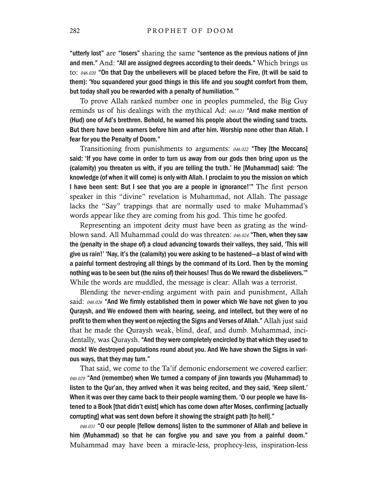"utterly lost" are "losers" sharing the same "sentence as the previous nations of jinn and men." And: "All are assigned degrees according to their deeds." Which brings us to: *046.020* "On that Day the unbelievers will be placed before the Fire, (It will be said to them): 'You squandered your good things in this life and you sought comfort from them, but today shall you be rewarded with a penalty of humiliation.'"

To prove Allah ranked number one in peoples pummeled, the Big Guy reminds us of his dealings with the mythical Ad: *046.021* "And make mention of (Hud) one of Ad's brethren. Behold, he warned his people about the winding sand tracts. But there have been warners before him and after him. Worship none other than Allah. I fear for you the Penalty of Doom."

Transitioning from punishments to arguments: *046.022* "They [the Meccans] said: 'If you have come in order to turn us away from our gods then bring upon us the (calamity) you threaten us with, if you are telling the truth.' He [Muhammad] said: 'The knowledge (of when it will come) is only with Allah. I proclaim to you the mission on which I have been sent: But I see that you are a people in ignorance!'" The first person speaker in this "divine" revelation is Muhammad, not Allah. The passage lacks the "Say" trappings that are normally used to make Muhammad's words appear like they are coming from his god. This time he goofed.

Representing an impotent deity must have been as grating as the windblown sand. All Muhammad could do was threaten: *046.024* "Then, when they saw the (penalty in the shape of) a cloud advancing towards their valleys, they said, 'This will give us rain!' 'Nay, it's the (calamity) you were asking to be hastened—a blast of wind with a painful torment destroying all things by the command of its Lord. Then by the morning nothing was to be seen but (the ruins of) their houses! Thus do We reward the disbelievers.'" While the words are muddled, the message is clear: Allah was a terrorist.

Blending the never-ending argument with pain and punishment, Allah said: *046.026* "And We firmly established them in power which We have not given to you Quraysh, and We endowed them with hearing, seeing, and intellect, but they were of no profit to them when they went on rejecting the Signs and Verses of Allah." Allah just said that he made the Quraysh weak, blind, deaf, and dumb. Muhammad, incidentally, was Quraysh."And they were completely encircled by that which they used to mock! We destroyed populations round about you. And We have shown the Signs in various ways, that they may turn."

That said, we come to the Ta'if demonic endorsement we covered earlier: *046.029* "And (remember) when We turned a company of jinn towards you (Muhammad) to listen to the Qur'an, they arrived when it was being recited, and they said, 'Keep silent.' When it was over they came back to their people warning them. 'O our people we have listened to a Book [that didn't exist] which has come down after Moses, confirming [actually corrupting] what was sent down before it showing the straight path [to hell]."

*046.031* "O our people [fellow demons] listen to the summoner of Allah and believe in him (Muhammad) so that he can forgive you and save you from a painful doom." Muhammad may have been a miracle-less, prophecy-less, inspiration-less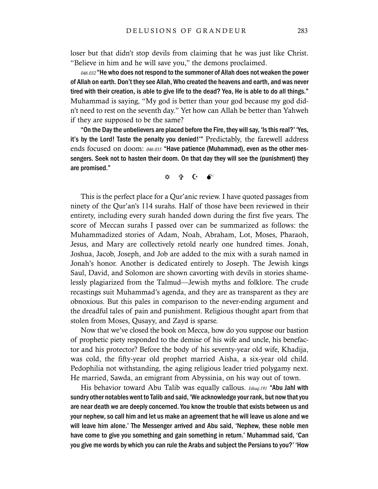loser but that didn't stop devils from claiming that he was just like Christ. "Believe in him and he will save you," the demons proclaimed.

*046.032* "He who does not respond to the summoner of Allah does not weaken the power of Allah on earth. Don't they see Allah, Who created the heavens and earth, and was never tired with their creation, is able to give life to the dead? Yea, He is able to do all things." Muhammad is saying, "My god is better than your god because my god didn't need to rest on the seventh day." Yet how can Allah be better than Yahweh if they are supposed to be the same?

"On the Day the unbelievers are placed before the Fire, they will say, 'Is this real?' 'Yes, it's by the Lord! Taste the penalty you denied!'" Predictably, the farewell address ends focused on doom: *046.035* "Have patience (Muhammad), even as the other messengers. Seek not to hasten their doom. On that day they will see the (punishment) they are promised."

**众 中 C 6<sup>※</sup>** 

This is the perfect place for a Qur'anic review. I have quoted passages from ninety of the Qur'an's 114 surahs. Half of those have been reviewed in their entirety, including every surah handed down during the first five years. The score of Meccan surahs I passed over can be summarized as follows: the Muhammadized stories of Adam, Noah, Abraham, Lot, Moses, Pharaoh, Jesus, and Mary are collectively retold nearly one hundred times. Jonah, Joshua, Jacob, Joseph, and Job are added to the mix with a surah named in Jonah's honor. Another is dedicated entirely to Joseph. The Jewish kings Saul, David, and Solomon are shown cavorting with devils in stories shamelessly plagiarized from the Talmud—Jewish myths and folklore. The crude recastings suit Muhammad's agenda, and they are as transparent as they are obnoxious. But this pales in comparison to the never-ending argument and the dreadful tales of pain and punishment. Religious thought apart from that stolen from Moses, Qusayy, and Zayd is sparse.

Now that we've closed the book on Mecca, how do you suppose our bastion of prophetic piety responded to the demise of his wife and uncle, his benefactor and his protector? Before the body of his seventy-year old wife, Khadija, was cold, the fifty-year old prophet married Aisha, a six-year old child. Pedophilia not withstanding, the aging religious leader tried polygamy next. He married, Sawda, an emigrant from Abyssinia, on his way out of town.

His behavior toward Abu Talib was equally callous. *Ishaq:191* "Abu Jahl with sundry other notables went to Talib and said, 'We acknowledge your rank, but now that you are near death we are deeply concerned. You know the trouble that exists between us and your nephew, so call him and let us make an agreement that he will leave us alone and we will leave him alone.' The Messenger arrived and Abu said, 'Nephew, these noble men have come to give you something and gain something in return.' Muhammad said, 'Can you give me words by which you can rule the Arabs and subject the Persians to you?' 'How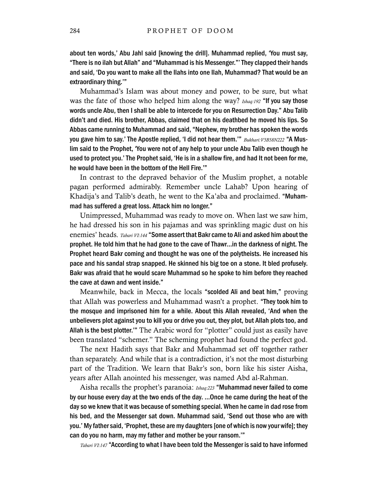about ten words,' Abu Jahl said [knowing the drill]. Muhammad replied, 'You must say, "There is no ilah but Allah" and "Muhammad is his Messenger."' They clapped their hands and said, 'Do you want to make all the Ilahs into one Ilah, Muhammad? That would be an extraordinary thing.'"

Muhammad's Islam was about money and power, to be sure, but what was the fate of those who helped him along the way? *Ishaq:192* "If you say those words uncle Abu, then I shall be able to intercede for you on Resurrection Day." Abu Talib didn't and died. His brother, Abbas, claimed that on his deathbed he moved his lips. So Abbas came running to Muhammad and said, "Nephew, my brother has spoken the words you gave him to say.' The Apostle replied, 'I did not hear them.'" *Bukhari:V5B58N222* "A Muslim said to the Prophet, 'You were not of any help to your uncle Abu Talib even though he used to protect you.' The Prophet said, 'He is in a shallow fire, and had It not been for me, he would have been in the bottom of the Hell Fire.'"

In contrast to the depraved behavior of the Muslim prophet, a notable pagan performed admirably. Remember uncle Lahab? Upon hearing of Khadija's and Talib's death, he went to the Ka'aba and proclaimed. "Muhammad has suffered a great loss. Attack him no longer."

Unimpressed, Muhammad was ready to move on. When last we saw him, he had dressed his son in his pajamas and was sprinkling magic dust on his enemies' heads. *Tabari VI:144* "Some assert that Bakr came to Ali and asked him about the prophet. He told him that he had gone to the cave of Thawr…in the darkness of night. The Prophet heard Bakr coming and thought he was one of the polytheists. He increased his pace and his sandal strap snapped. He skinned his big toe on a stone. It bled profusely. Bakr was afraid that he would scare Muhammad so he spoke to him before they reached the cave at dawn and went inside."

Meanwhile, back in Mecca, the locals "scolded Ali and beat him," proving that Allah was powerless and Muhammad wasn't a prophet. "They took him to the mosque and imprisoned him for a while. About this Allah revealed, 'And when the unbelievers plot against you to kill you or drive you out, they plot, but Allah plots too, and Allah is the best plotter.'" The Arabic word for "plotter" could just as easily have been translated "schemer." The scheming prophet had found the perfect god.

The next Hadith says that Bakr and Muhammad set off together rather than separately. And while that is a contradiction, it's not the most disturbing part of the Tradition. We learn that Bakr's son, born like his sister Aisha, years after Allah anointed his messenger, was named Abd al-Rahman.

Aisha recalls the prophet's paranoia: *Ishaq:223* "Muhammad never failed to come by our house every day at the two ends of the day. …Once he came during the heat of the day so we knew that it was because of something special. When he came in dad rose from his bed, and the Messenger sat down. Muhammad said, 'Send out those who are with you.' My father said, 'Prophet, these are my daughters [one of which is now your wife]; they can do you no harm, may my father and mother be your ransom.'"

*Tabari VI:147* "According to what I have been told the Messenger is said to have informed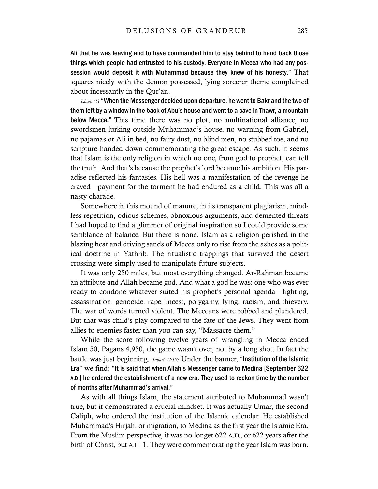Ali that he was leaving and to have commanded him to stay behind to hand back those things which people had entrusted to his custody. Everyone in Mecca who had any possession would deposit it with Muhammad because they knew of his honesty." That squares nicely with the demon possessed, lying sorcerer theme complained about incessantly in the Qur'an.

*Ishaq:223* "When the Messenger decided upon departure, he went to Bakr and the two of them left by a window in the back of Abu's house and went to a cave in Thawr, a mountain below Mecca." This time there was no plot, no multinational alliance, no swordsmen lurking outside Muhammad's house, no warning from Gabriel, no pajamas or Ali in bed, no fairy dust, no blind men, no stubbed toe, and no scripture handed down commemorating the great escape. As such, it seems that Islam is the only religion in which no one, from god to prophet, can tell the truth. And that's because the prophet's lord became his ambition. His paradise reflected his fantasies. His hell was a manifestation of the revenge he craved—payment for the torment he had endured as a child. This was all a nasty charade.

Somewhere in this mound of manure, in its transparent plagiarism, mindless repetition, odious schemes, obnoxious arguments, and demented threats I had hoped to find a glimmer of original inspiration so I could provide some semblance of balance. But there is none. Islam as a religion perished in the blazing heat and driving sands of Mecca only to rise from the ashes as a political doctrine in Yathrib. The ritualistic trappings that survived the desert crossing were simply used to manipulate future subjects.

It was only 250 miles, but most everything changed. Ar-Rahman became an attribute and Allah became god. And what a god he was: one who was ever ready to condone whatever suited his prophet's personal agenda—fighting, assassination, genocide, rape, incest, polygamy, lying, racism, and thievery. The war of words turned violent. The Meccans were robbed and plundered. But that was child's play compared to the fate of the Jews. They went from allies to enemies faster than you can say, "Massacre them."

While the score following twelve years of wrangling in Mecca ended Islam 50, Pagans 4,950, the game wasn't over, not by a long shot. In fact the battle was just beginning. *Tabari VI:157* Under the banner, "Institution of the Islamic Era" we find: "It is said that when Allah's Messenger came to Medina [September 622 A.D.] he ordered the establishment of a new era. They used to reckon time by the number of months after Muhammad's arrival."

As with all things Islam, the statement attributed to Muhammad wasn't true, but it demonstrated a crucial mindset. It was actually Umar, the second Caliph, who ordered the institution of the Islamic calendar. He established Muhammad's Hirjah, or migration, to Medina as the first year the Islamic Era. From the Muslim perspective, it was no longer 622 A.D., or 622 years after the birth of Christ, but A.H. 1. They were commemorating the year Islam was born.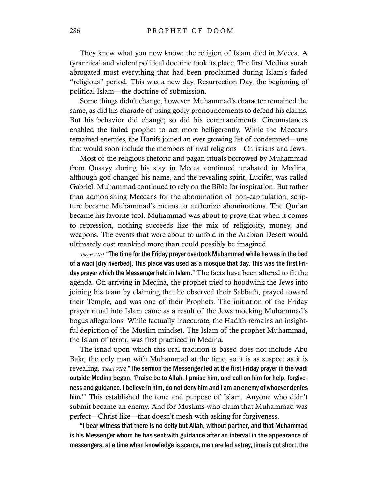They knew what you now know: the religion of Islam died in Mecca. A tyrannical and violent political doctrine took its place. The first Medina surah abrogated most everything that had been proclaimed during Islam's faded "religious" period. This was a new day, Resurrection Day, the beginning of political Islam—the doctrine of submission.

Some things didn't change, however. Muhammad's character remained the same, as did his charade of using godly pronouncements to defend his claims. But his behavior did change; so did his commandments. Circumstances enabled the failed prophet to act more belligerently. While the Meccans remained enemies, the Hanifs joined an ever-growing list of condemned—one that would soon include the members of rival religions—Christians and Jews.

Most of the religious rhetoric and pagan rituals borrowed by Muhammad from Qusayy during his stay in Mecca continued unabated in Medina, although god changed his name, and the revealing spirit, Lucifer, was called Gabriel. Muhammad continued to rely on the Bible for inspiration. But rather than admonishing Meccans for the abomination of non-capitulation, scripture became Muhammad's means to authorize abominations. The Qur'an became his favorite tool. Muhammad was about to prove that when it comes to repression, nothing succeeds like the mix of religiosity, money, and weapons. The events that were about to unfold in the Arabian Desert would ultimately cost mankind more than could possibly be imagined.

*Tabari VII:1* "The time for the Friday prayer overtook Muhammad while he was in the bed of a wadi [dry riverbed]. This place was used as a mosque that day. This was the first Friday prayer which the Messenger held in Islam." The facts have been altered to fit the agenda. On arriving in Medina, the prophet tried to hoodwink the Jews into joining his team by claiming that he observed their Sabbath, prayed toward their Temple, and was one of their Prophets. The initiation of the Friday prayer ritual into Islam came as a result of the Jews mocking Muhammad's bogus allegations. While factually inaccurate, the Hadith remains an insightful depiction of the Muslim mindset. The Islam of the prophet Muhammad, the Islam of terror, was first practiced in Medina.

The isnad upon which this oral tradition is based does not include Abu Bakr, the only man with Muhammad at the time, so it is as suspect as it is revealing. *Tabari VII:2* "The sermon the Messenger led at the first Friday prayer in the wadi outside Medina began, 'Praise be to Allah. I praise him, and call on him for help, forgiveness and guidance. I believe in him, do not deny him and I am an enemy of whoever denies him.'" This established the tone and purpose of Islam. Anyone who didn't submit became an enemy. And for Muslims who claim that Muhammad was perfect—Christ-like—that doesn't mesh with asking for forgiveness.

"I bear witness that there is no deity but Allah, without partner, and that Muhammad is his Messenger whom he has sent with guidance after an interval in the appearance of messengers, at a time when knowledge is scarce, men are led astray, time is cut short, the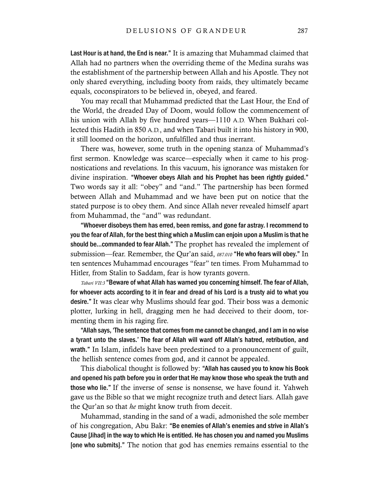Last Hour is at hand, the End is near." It is amazing that Muhammad claimed that Allah had no partners when the overriding theme of the Medina surahs was the establishment of the partnership between Allah and his Apostle. They not only shared everything, including booty from raids, they ultimately became equals, coconspirators to be believed in, obeyed, and feared.

You may recall that Muhammad predicted that the Last Hour, the End of the World, the dreaded Day of Doom, would follow the commencement of his union with Allah by five hundred years—1110 A.D. When Bukhari collected this Hadith in 850 A.D., and when Tabari built it into his history in 900, it still loomed on the horizon, unfulfilled and thus inerrant.

There was, however, some truth in the opening stanza of Muhammad's first sermon. Knowledge was scarce—especially when it came to his prognostications and revelations. In this vacuum, his ignorance was mistaken for divine inspiration. "Whoever obeys Allah and his Prophet has been rightly guided." Two words say it all: "obey" and "and." The partnership has been formed between Allah and Muhammad and we have been put on notice that the stated purpose is to obey them. And since Allah never revealed himself apart from Muhammad, the "and" was redundant.

"Whoever disobeys them has erred, been remiss, and gone far astray. I recommend to you the fear of Allah, for the best thing which a Muslim can enjoin upon a Muslim is that he should be…commanded to fear Allah." The prophet has revealed the implement of submission—fear. Remember, the Qur'an said, *087.010* "He who fears will obey." In ten sentences Muhammad encourages "fear" ten times. From Muhammad to Hitler, from Stalin to Saddam, fear is how tyrants govern.

*Tabari VII:3* "Beware of what Allah has warned you concerning himself. The fear of Allah, for whoever acts according to it in fear and dread of his Lord is a trusty aid to what you desire." It was clear why Muslims should fear god. Their boss was a demonic plotter, lurking in hell, dragging men he had deceived to their doom, tormenting them in his raging fire.

"Allah says, 'The sentence that comes from me cannot be changed, and I am in no wise a tyrant unto the slaves.' The fear of Allah will ward off Allah's hatred, retribution, and wrath." In Islam, infidels have been predestined to a pronouncement of guilt, the hellish sentence comes from god, and it cannot be appealed.

This diabolical thought is followed by: "Allah has caused you to know his Book and opened his path before you in order that He may know those who speak the truth and those who lie." If the inverse of sense is nonsense, we have found it. Yahweh gave us the Bible so that we might recognize truth and detect liars. Allah gave the Qur'an so that *he* might know truth from deceit.

Muhammad, standing in the sand of a wadi, admonished the sole member of his congregation, Abu Bakr: "Be enemies of Allah's enemies and strive in Allah's Cause [Jihad] in the way to which He is entitled. He has chosen you and named you Muslims [one who submits]." The notion that god has enemies remains essential to the